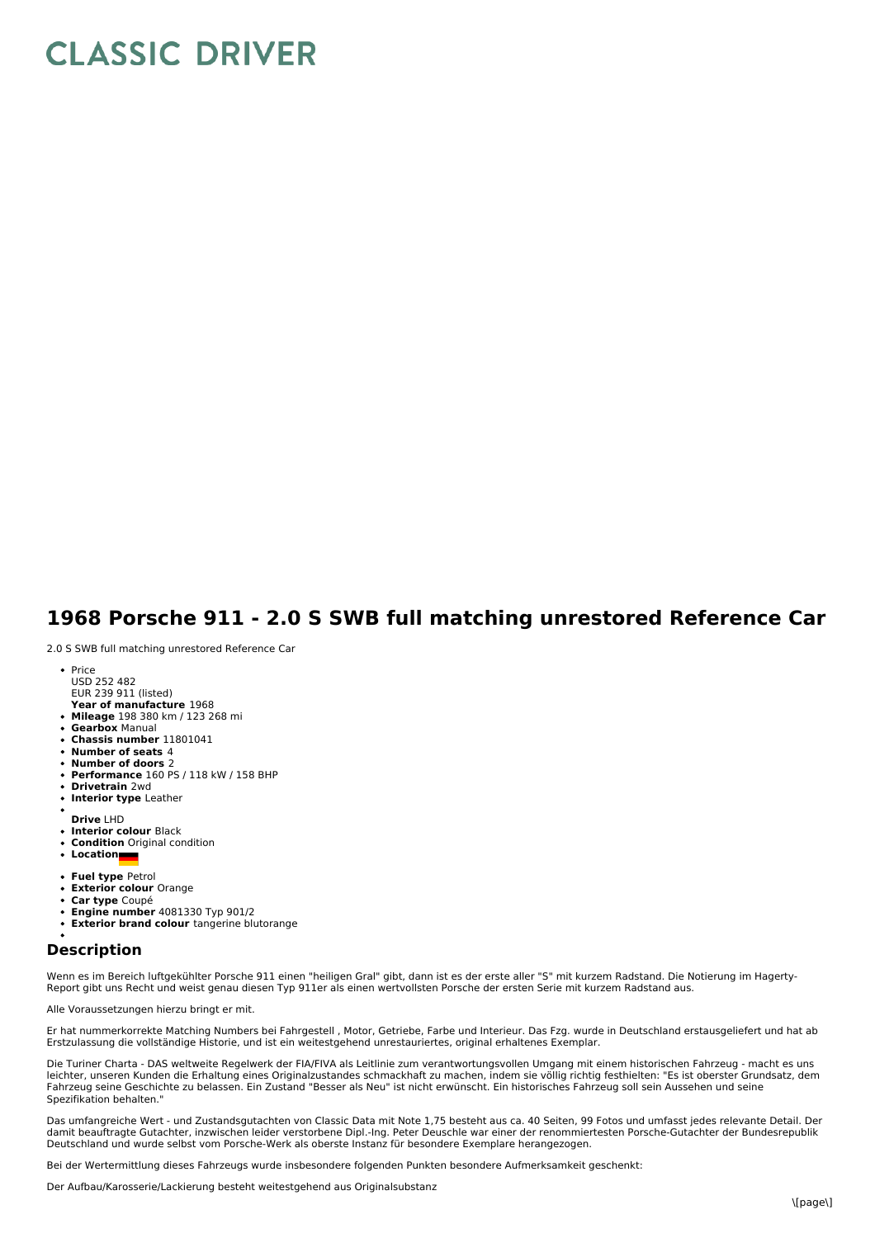# **CLASSIC DRIVER**

## **1968 Porsche 911 - 2.0 S SWB full matching unrestored Reference Car**

2.0 S SWB full matching unrestored Reference Car

- Price USD 252 482 EUR 239 911 (listed)
- **Year of manufacture** 1968
- **Mileage** 198 380 km / 123 268 mi **Gearbox** Manual
- **Chassis number** 11801041
- **Number of seats** 4
- **Number of doors** 2
- **Performance** 160 PS / 118 kW / 158 BHP
- **Drivetrain** 2wd
- **Interior type** Leather
- **Drive** LHD
- **Interior colour** Black
- **Condition** Original condition
- **Location**
- 
- **Fuel type** Petrol **Exterior colour** Orange
- **Car type** Coupé
- **Engine number** 4081330 Typ 901/2
- **Exterior brand colour** tangerine blutorange

### **Description**

Wenn es im Bereich luftgekühlter Porsche 911 einen "heiligen Gral" gibt, dann ist es der erste aller "S" mit kurzem Radstand. Die Notierung im Hagerty-<br>Report gibt uns Recht und weist genau diesen Typ 911er als einen wertv

Alle Voraussetzungen hierzu bringt er mit.

Er hat nummerkorrekte Matching Numbers bei Fahrgestell , Motor, Getriebe, Farbe und Interieur. Das Fzg. wurde in Deutschland erstausgeliefert und hat ab Erstzulassung die vollständige Historie, und ist ein weitestgehend unrestauriertes, original erhaltenes Exemplar.

Die Turiner Charta - DAS weltweite Regelwerk der FIA/FIVA als Leitlinie zum verantwortungsvollen Umgang mit einem historischen Fahrzeug - macht es uns leichter, unseren Kunden die Erhaltung eines Originalzustandes schmackhaft zu machen, indem sie völlig richtig festhielten: "Es ist oberster Grundsatz, dem Fahrzeug seine Geschichte zu belassen. Ein Zustand "Besser als Neu" ist nicht erwünscht. Ein historisches Fahrzeug soll sein Aussehen und seine Spezifikation behalten."

Das umfangreiche Wert - und Zustandsgutachten von Classic Data mit Note 1,75 besteht aus ca. 40 Seiten, 99 Fotos und umfasst jedes relevante Detail. Der<br>damit beauftragte Gutachter, inzwischen leider verstorbene Dipl.-Ing.

Bei der Wertermittlung dieses Fahrzeugs wurde insbesondere folgenden Punkten besondere Aufmerksamkeit geschenkt:

Der Aufbau/Karosserie/Lackierung besteht weitestgehend aus Originalsubstanz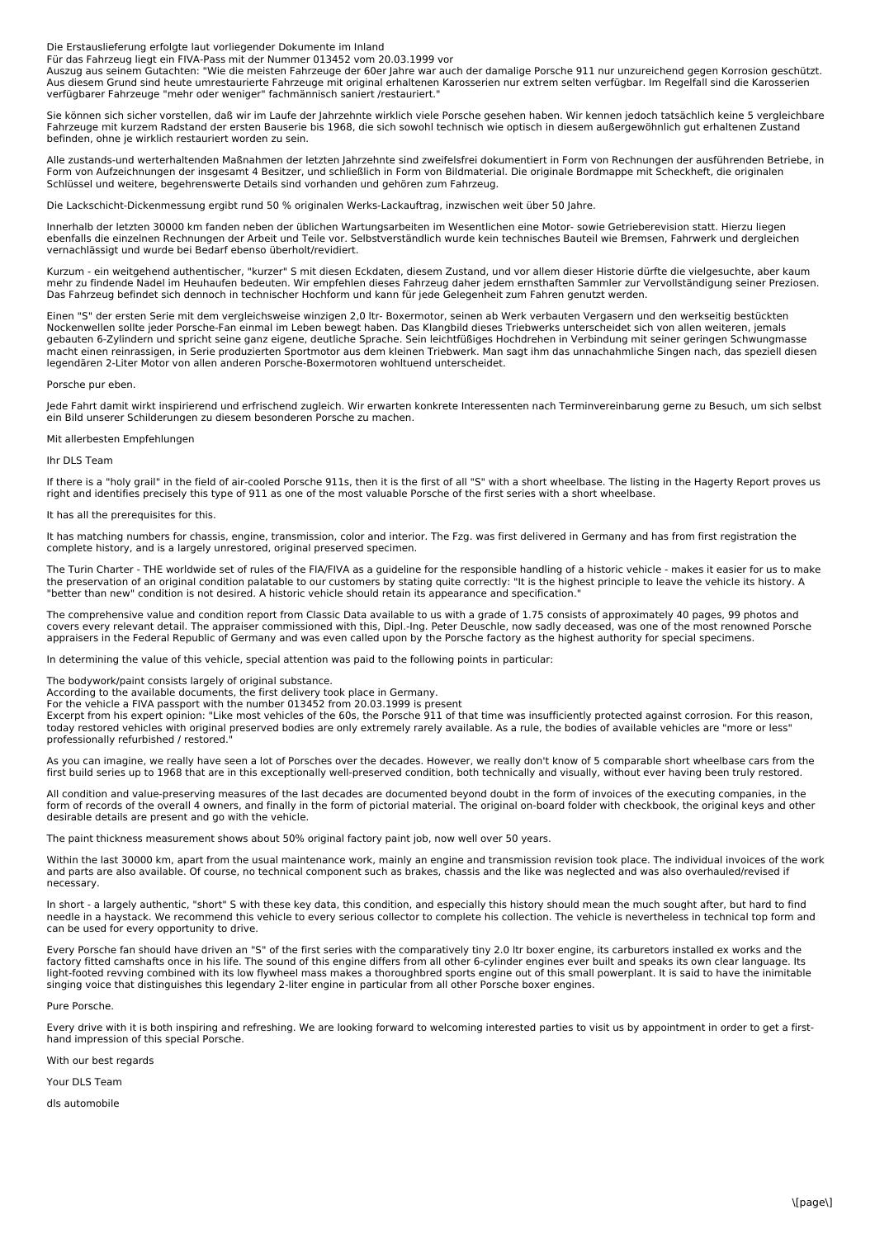Die Erstauslieferung erfolgte laut vorliegender Dokumente im Inland

Für das Fahrzeug liegt ein FIVA-Pass mit der Nummer 013452 vom 20.03.1999 vor

Auszug aus seinem Gutachten: "Wie die meisten Fahrzeuge der 60er Jahre war auch der damalige Porsche 911 nur unzureichend gegen Korrosion geschützt. Aus diesem Grund sind heute umrestaurierte Fahrzeuge mit original erhaltenen Karosserien nur extrem selten verfügbar. Im Regelfall sind die Karosserien verfügbarer Fahrzeuge "mehr oder weniger" fachmännisch saniert /restauriert."

Sie können sich sicher vorstellen, daß wir im Laufe der Jahrzehnte wirklich viele Porsche gesehen haben. Wir kennen jedoch tatsächlich keine 5 vergleichbare Fahrzeuge mit kurzem Radstand der ersten Bauserie bis 1968, die sich sowohl technisch wie optisch in diesem außergewöhnlich gut erhaltenen Zustand befinden, ohne je wirklich restauriert worden zu sein.

Alle zustands-und werterhaltenden Maßnahmen der letzten Jahrzehnte sind zweifelsfrei dokumentiert in Form von Rechnungen der ausführenden Betriebe, in Form von Aufzeichnungen der insgesamt 4 Besitzer, und schließlich in Form von Bildmaterial. Die originale Bordmappe mit Scheckheft, die originalen Schlüssel und weitere, begehrenswerte Details sind vorhanden und gehören zum Fahrzeug.

Die Lackschicht-Dickenmessung ergibt rund 50 % originalen Werks-Lackauftrag, inzwischen weit über 50 Jahre.

Innerhalb der letzten 30000 km fanden neben der üblichen Wartungsarbeiten im Wesentlichen eine Motor- sowie Getrieberevision statt. Hierzu liegen ebenfalls die einzelnen Rechnungen der Arbeit und Teile vor. Selbstverständlich wurde kein technisches Bauteil wie Bremsen, Fahrwerk und dergleichen vernachlässigt und wurde bei Bedarf ebenso überholt/revidiert.

ein weitgehend authentischer, "kurzer" S mit diesen Eckdaten, diesem Zustand, und vor allem dieser Historie dürfte die vielgesuchte, aber kaum mehr zu findende Nadel im Heuhaufen bedeuten. Wir empfehlen dieses Fahrzeug daher jedem ernsthaften Sammler zur Vervollständigung seiner Preziosen. Das Fahrzeug befindet sich dennoch in technischer Hochform und kann für jede Gelegenheit zum Fahren genutzt werden.

Einen "S" der ersten Serie mit dem vergleichsweise winzigen 2,0 ltr- Boxermotor, seinen ab Werk verbauten Vergasern und den werkseitig bestückten Nockenwellen sollte jeder Porsche-Fan einmal im Leben bewegt haben. Das Klangbild dieses Triebwerks unterscheidet sich von allen weiteren, jemals<br>gebauten 6-Zylindern und spricht seine ganz eigene, deutliche Sprache. Sein legendären 2-Liter Motor von allen anderen Porsche-Boxermotoren wohltuend unterscheidet.

#### Porsche pur eben.

Jede Fahrt damit wirkt inspirierend und erfrischend zugleich. Wir erwarten konkrete Interessenten nach Terminvereinbarung gerne zu Besuch, um sich selbst ein Bild unserer Schilderungen zu diesem besonderen Porsche zu machen.

#### Mit allerbesten Empfehlungen

Ihr DLS Team

If there is a "holy grail" in the field of air-cooled Porsche 911s, then it is the first of all "S" with a short wheelbase. The listing in the Hagerty Report proves us right and identifies precisely this type of 911 as one of the most valuable Porsche of the first series with a short wheelbase.

#### It has all the prerequisites for this.

It has matching numbers for chassis, engine, transmission, color and interior. The Fzg. was first delivered in Germany and has from first registration the complete history, and is a largely unrestored, original preserved specimen.

The Turin Charter - THE worldwide set of rules of the FIA/FIVA as a guideline for the responsible handling of a historic vehicle - makes it easier for us to make the preservation of an original condition palatable to our customers by stating quite correctly: "It is the highest principle to leave the vehicle its history. A "better than new" condition is not desired. A historic vehicle should retain its appearance and specification."

The comprehensive value and condition report from Classic Data available to us with a grade of 1.75 consists of approximately 40 pages, 99 photos and covers every relevant detail. The appraiser commissioned with this, Dipl.-Ing. Peter Deuschle, now sadly deceased, was one of the most renowned Porsche appraisers in the Federal Republic of Germany and was even called upon by the Porsche factory as the highest authority for special specimens.

In determining the value of this vehicle, special attention was paid to the following points in particular:

The bodywork/paint consists largely of original substance.

According to the available documents, the first delivery took place in Germany. For the vehicle a FIVA passport with the number 013452 from 20.03.1999 is present

Excerpt from his expert opinion: "Like most vehicles of the 60s, the Porsche 911 of that time was insufficiently protected against corrosion. For this reason,<br>today restored vehicles with original preserved bodies are only professionally refurbished / restored."

As you can imagine, we really have seen a lot of Porsches over the decades. However, we really don't know of 5 comparable short wheelbase cars from the first build series up to 1968 that are in this exceptionally well-preserved condition, both technically and visually, without ever having been truly restored.

All condition and value-preserving measures of the last decades are documented beyond doubt in the form of invoices of the executing companies, in the form of records of the overall 4 owners, and finally in the form of pictorial material. The original on-board folder with checkbook, the original keys and other desirable details are present and go with the vehicle.

The paint thickness measurement shows about 50% original factory paint job, now well over 50 years.

Within the last 30000 km, apart from the usual maintenance work, mainly an engine and transmission revision took place. The individual invoices of the work<br>and parts are also available. Of course, no technical component su necessary.

In short - a largely authentic, "short" S with these key data, this condition, and especially this history should mean the much sought after, but hard to find needle in a haystack. We recommend this vehicle to every serious collector to complete his collection. The vehicle is nevertheless in technical top form and can be used for every opportunity to drive.

Every Porsche fan should have driven an "S" of the first series with the comparatively tiny 2.0 ltr boxer engine, its carburetors installed ex works and the factory fitted camshafts once in his life. The sound of this engine differs from all other 6-cylinder engines ever built and speaks its own clear language. Its light-footed revving combined with its low flywheel mass makes a thoroughbred sports engine out of this small powerplant. It is said to have the inimitable singing voice that distinguishes this legendary 2-liter engine in particular from all other Porsche boxer engines.

Pure Porsche.

Every drive with it is both inspiring and refreshing. We are looking forward to welcoming interested parties to visit us by appointment in order to get a firsthand impression of this special Porsche.

With our best regards

Your DLS Team

dls automobile